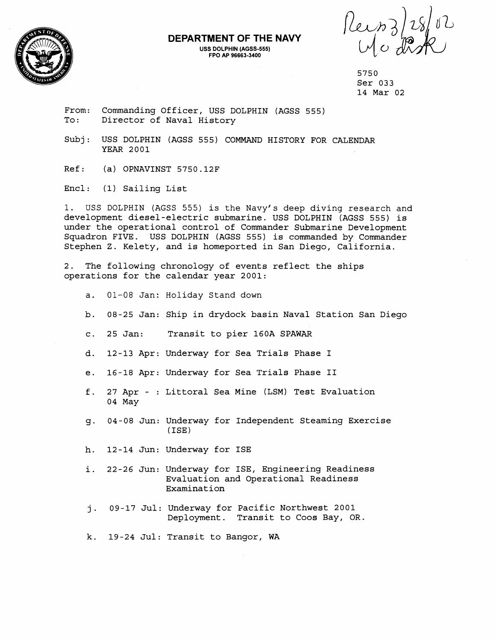

## **DEPARTMENT OF THE NAVY USS DOLPHIN (AGSS-555) FPO AP 96663-3400**

Reinzles/02

From: Commanding Officer, USS DOLPHIN (AGSS 555)<br>To: Director of Naval History Director of Naval History

Subj: USS DOLPHIN (AGSS 555) COMMAND HISTORY FOR CALENDAR YEAR 2001

Ref: (a) OPNAVINST 5750.12F

Encl: (1) Sailing List

1. USS DOLPHIN (AGSS 555) is the Navy's deep diving research and development diesel-electric submarine. USS DOLPHIN (AGSS 555) is under the operational control of Commander Submarine Development Squadron FIVE. USS DOLPHIN (AGSS 555) is commanded by Commander Stephen Z. Kelety, and is homeported in San Diego, California.

2. The following chronology of events reflect the ships operations for the calendar year 2001:

- a. 01-08 Jan: Holiday Stand down
- b. 08-25 Jan: Ship in drydock basin Naval Station San Diego
- c. 25 Jan: Transit to pier 160A SPAWAR
- d. 12-13 Apr: Underway for Sea Trials Phase I
- e. 16-18 Apr: Underway for Sea Trials Phase I1
- f. 27 Apr : Littoral Sea Mine (LSM) Test Evaluation 04 May
- g. 04-08 Jun: Underway for Independent Steaming Exercise (ISE)
- h. 12-14 Jun: Underway for ISE
- i. 22-26 Jun: Underway for ISE, Engineering Readiness Evaluation and Operational Readiness Examination
- j. 09-17 Jul: Underway for Pacific Northwest 2001 Deployment. Transit to Coos Bay, OR.
- k. 19-24 Jul: Transit to Bangor, WA

<sup>5750</sup>  Ser 033 14 Mar 02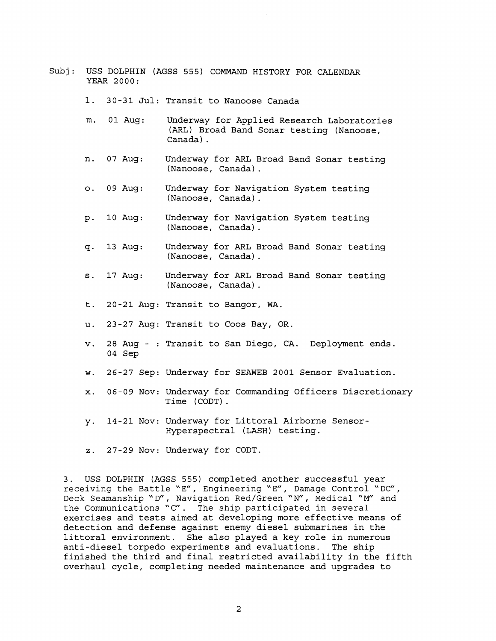- Subj: USS DOLPHIN (AGSS 555) COMMAND HISTORY FOR CALENDAR YEAR 2000:
	- 1. 30-31 Jul: Transit to Nanoose Canada
	- m. 01 Aug: Underway for Applied Research Laboratories (ARL) Broad Band Sonar testing (Nanoose, Canada) .
	- n. 07 Aug: Underway for ARL Broad Band Sonar testing (Nanoose, Canada) .
	- 0. 09 Aug: Underway for Navigation System testing (Nanoose, Canada) .
	- p. 1OAug: Underway for Navigation System testing (Nanoose, Canada) .
	- q. 13 Aug: Underway for ARL Broad Band Sonar testing (Nanoose, Canada) .
	- s. 17 Aug: Underway for ARL Broad Band Sonar testing (Nanoose, Canada) .
	- t. 20-21 Aug: Transit to Bangor, WA.
	- u. 23-27 Aug: Transit to Coos Bay, OR.
	- v. 28 Aug : Transit to San Diego, CA. Deployment ends. 04 Sep
	- w. 26-27 Sep: Underway for SEAWEB 2001 Sensor Evaluation.
	- x. 06-09 Nov: Underway for Commanding Officers Discretionary Time (CODT).
	- y. 14-21 Nov: Underway for Littoral Airborne Sensor-Hyperspectral (LASH) testing.
	- z. 27-29 Nov: Underway for CODT.

3. USS DOLPHIN (AGSS 555) completed another successful year receiving the Battle "E", Engineering "E", Damage Control "DC",<br>Deck Seamanship "D", Navigation Red/Green "N", Medical "M" and the Communications "C". The ship participated in several exercises and tests aimed at developing more effective means of detection and defense against enemy diesel submarines in the littoral environment. She also played a key role in numerous anti-diesel torpedo experiments and evaluations. The ship finished the third and final restricted availability in the fifth overhaul cycle, completing needed maintenance and upgrades to